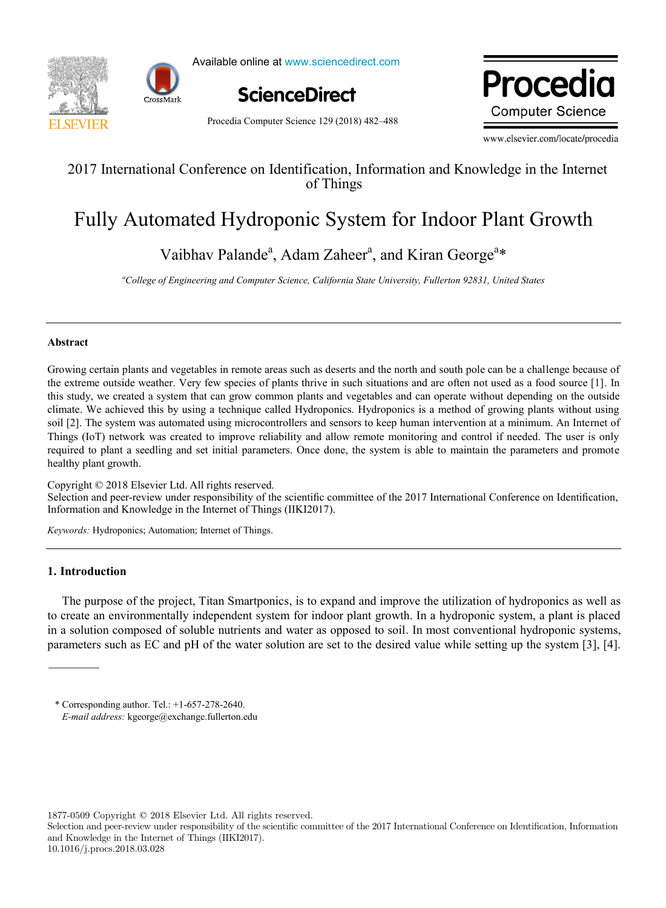



Available online at www.sciencedirect.com



Procedia Computer Science 129 (2018) 482–488

Due ee alis ww.edic **Computer Science** 

www.elsevier.com/locate/procedia

### 2017 International Conference on Identification, Information and Knowledge in the Internet 2017 International Conference on Identification, Information and Knowledge in the Internet of Things

## Fully Automated Hydroponic System for Indoor Plant Growth Fully Automated Hydroponic System for Indoor Plant Growth

 $\frac{1}{2}$  Palandez (1944)  $\frac{1}{2}$  and  $\frac{1}{2}$  and  $\frac{1}{2}$ *College of Engineering and Computer Science, California State University, Fullerton 92831, United States* Vaibhav Palande<sup>a</sup>, Adam Zaheer<sup>a</sup>, and Kiran George<sup>a\*</sup>

*a College of Engineering and Computer Science, California State University, Fullerton 92831, United States*

#### **Abstract**

Growing certain plants and vegetables in remote areas such as deserts and the north and south pole can be a challenge because of the extreme outside weather. Very few species of plants thrive in such situations and are often not used as a food source [1]. In this study, we created a system that can grow common plants and vegetables and can operate without depending on the outside climate. We achieved this by using a technique called Hydroponics. Hydroponics is a method of growing plants without using soil [2]. The system was automated using microcontrollers and sensors to keep human intervention at a minimum. An Internet of Things (IoT) network was created to improve reliability and allow remote monitoring and control if needed. The user is only required to plant a seedling and set initial parameters. Once done, the system is able to maintain the parameters and promote healthy plant growth.

Copyright © 2018 Elsevier Ltd. All rights reserved. Copyright © 2018 Elsevier Ltd. All rights reserved. Selection and peer-review under responsibility of the scientific committee of the 2017 International Conference on Identification, Information and Knowledge in the Internet of Things (IIKI2017). Information and this  $\overline{\phantom{a}}$  is the Internet of Things (IIIII).

*Keywords:* Hydroponics; Automation; Internet of Things. *Keywords:* Hydroponics; Automation; Internet of Things.

#### **1. Introduction**

The purpose of the project, Titan Smartponics, is to expand and improve the utilization of hydroponics as well as to create an environmentally independent system for indoor plant growth. In a hydroponic system, a plant is placed in a solution composed of soluble nutrients and water as opposed to soil. In most conventional hydroponic systems, parameters such as EC and pH of the water solution are set to the desired value while setting up the system [3], [4].

1877-0509 Copyright © 2018 Elsevier Ltd. All rights reserved.

<sup>\*</sup> Corresponding author. Tel.: +1-657-278-2640. E-mail address: kgeorge@exchange.fullerton.edu

Selection and peer-review under responsibility of the scientific committee of the 2017 International Conference on Identification, Information and Knowledge in the Internet of Things (IIKI2017). 10.1016/j.procs.2018.03.028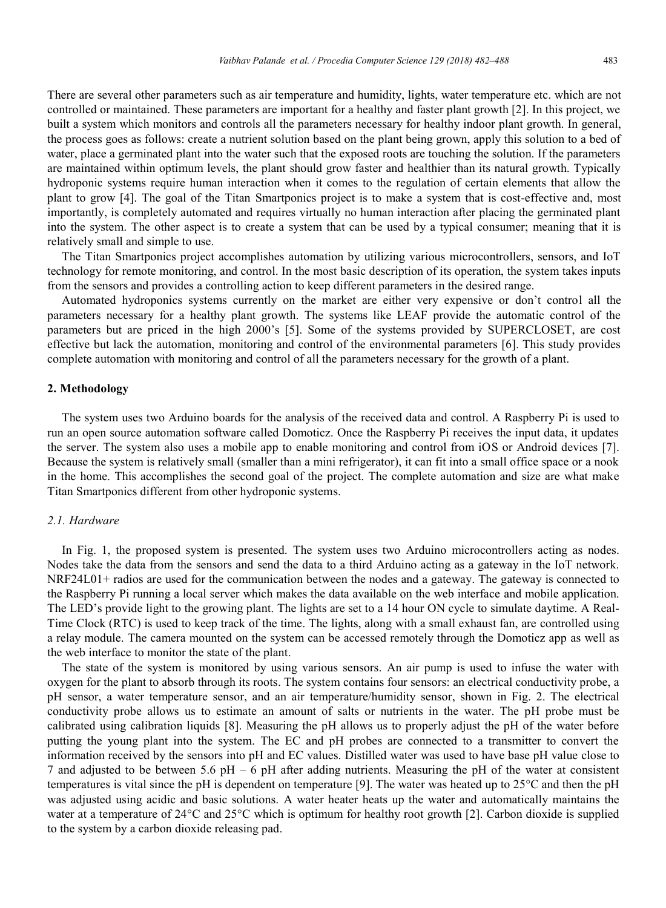There are several other parameters such as air temperature and humidity, lights, water temperature etc. which are not controlled or maintained. These parameters are important for a healthy and faster plant growth [2]. In this project, we built a system which monitors and controls all the parameters necessary for healthy indoor plant growth. In general, the process goes as follows: create a nutrient solution based on the plant being grown, apply this solution to a bed of water, place a germinated plant into the water such that the exposed roots are touching the solution. If the parameters are maintained within optimum levels, the plant should grow faster and healthier than its natural growth. Typically hydroponic systems require human interaction when it comes to the regulation of certain elements that allow the plant to grow [4]. The goal of the Titan Smartponics project is to make a system that is cost-effective and, most importantly, is completely automated and requires virtually no human interaction after placing the germinated plant into the system. The other aspect is to create a system that can be used by a typical consumer; meaning that it is relatively small and simple to use.

The Titan Smartponics project accomplishes automation by utilizing various microcontrollers, sensors, and IoT technology for remote monitoring, and control. In the most basic description of its operation, the system takes inputs from the sensors and provides a controlling action to keep different parameters in the desired range.

Automated hydroponics systems currently on the market are either very expensive or don't control all the parameters necessary for a healthy plant growth. The systems like LEAF provide the automatic control of the parameters but are priced in the high 2000's [5]. Some of the systems provided by SUPERCLOSET, are cost effective but lack the automation, monitoring and control of the environmental parameters [6]. This study provides complete automation with monitoring and control of all the parameters necessary for the growth of a plant.

#### **2. Methodology**

The system uses two Arduino boards for the analysis of the received data and control. A Raspberry Pi is used to run an open source automation software called Domoticz. Once the Raspberry Pi receives the input data, it updates the server. The system also uses a mobile app to enable monitoring and control from iOS or Android devices [7]. Because the system is relatively small (smaller than a mini refrigerator), it can fit into a small office space or a nook in the home. This accomplishes the second goal of the project. The complete automation and size are what make Titan Smartponics different from other hydroponic systems.

#### *2.1. Hardware*

In Fig. 1, the proposed system is presented. The system uses two Arduino microcontrollers acting as nodes. Nodes take the data from the sensors and send the data to a third Arduino acting as a gateway in the IoT network. NRF24L01+ radios are used for the communication between the nodes and a gateway. The gateway is connected to the Raspberry Pi running a local server which makes the data available on the web interface and mobile application. The LED's provide light to the growing plant. The lights are set to a 14 hour ON cycle to simulate daytime. A Real-Time Clock (RTC) is used to keep track of the time. The lights, along with a small exhaust fan, are controlled using a relay module. The camera mounted on the system can be accessed remotely through the Domoticz app as well as the web interface to monitor the state of the plant.

The state of the system is monitored by using various sensors. An air pump is used to infuse the water with oxygen for the plant to absorb through its roots. The system contains four sensors: an electrical conductivity probe, a pH sensor, a water temperature sensor, and an air temperature/humidity sensor, shown in Fig. 2. The electrical conductivity probe allows us to estimate an amount of salts or nutrients in the water. The pH probe must be calibrated using calibration liquids [8]. Measuring the pH allows us to properly adjust the pH of the water before putting the young plant into the system. The EC and pH probes are connected to a transmitter to convert the information received by the sensors into pH and EC values. Distilled water was used to have base pH value close to 7 and adjusted to be between 5.6 pH – 6 pH after adding nutrients. Measuring the pH of the water at consistent temperatures is vital since the pH is dependent on temperature [9]. The water was heated up to  $25^{\circ}$ C and then the pH was adjusted using acidic and basic solutions. A water heater heats up the water and automatically maintains the water at a temperature of  $24^{\circ}$ C and  $25^{\circ}$ C which is optimum for healthy root growth [2]. Carbon dioxide is supplied to the system by a carbon dioxide releasing pad.